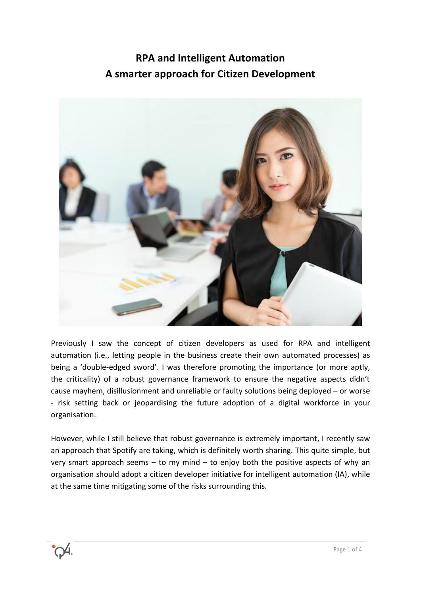# **RPA and Intelligent Automation A smarter approach for Citizen Development**



Previously I saw the concept of citizen developers as used for RPA and intelligent automation (i.e., letting people in the business create their own automated processes) as being a 'double-edged sword'. I was therefore promoting the importance (or more aptly, the criticality) of a robust governance framework to ensure the negative aspects didn't cause mayhem, disillusionment and unreliable or faulty solutions being deployed – or worse - risk setting back or jeopardising the future adoption of a digital workforce in your organisation.

However, while I still believe that robust governance is extremely important, I recently saw an approach that Spotify are taking, which is definitely worth sharing. This quite simple, but very smart approach seems – to my mind – to enjoy both the positive aspects of why an organisation should adopt a citizen developer initiative for intelligent automation (IA), while at the same time mitigating some of the risks surrounding this.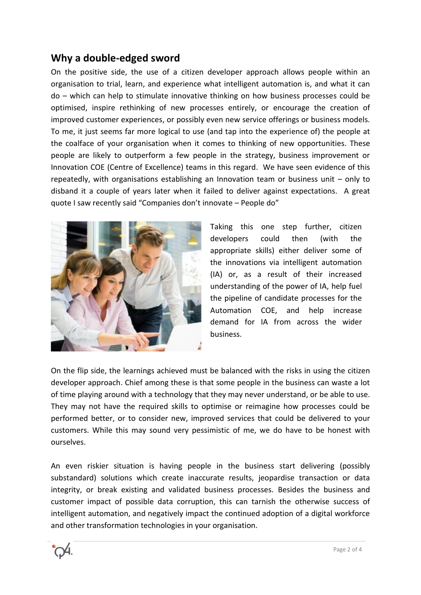### **Why a double-edged sword**

On the positive side, the use of a citizen developer approach allows people within an organisation to trial, learn, and experience what intelligent automation is, and what it can do – which can help to stimulate innovative thinking on how business processes could be optimised, inspire rethinking of new processes entirely, or encourage the creation of improved customer experiences, or possibly even new service offerings or business models. To me, it just seems far more logical to use (and tap into the experience of) the people at the coalface of your organisation when it comes to thinking of new opportunities. These people are likely to outperform a few people in the strategy, business improvement or Innovation COE (Centre of Excellence) teams in this regard. We have seen evidence of this repeatedly, with organisations establishing an Innovation team or business unit – only to disband it a couple of years later when it failed to deliver against expectations. A great quote I saw recently said "Companies don't innovate – People do"



Taking this one step further, citizen developers could then (with the appropriate skills) either deliver some of the innovations via intelligent automation (IA) or, as a result of their increased understanding of the power of IA, help fuel the pipeline of candidate processes for the Automation COE, and help increase demand for IA from across the wider business.

On the flip side, the learnings achieved must be balanced with the risks in using the citizen developer approach. Chief among these is that some people in the business can waste a lot of time playing around with a technology that they may never understand, or be able to use. They may not have the required skills to optimise or reimagine how processes could be performed better, or to consider new, improved services that could be delivered to your customers. While this may sound very pessimistic of me, we do have to be honest with ourselves.

An even riskier situation is having people in the business start delivering (possibly substandard) solutions which create inaccurate results, jeopardise transaction or data integrity, or break existing and validated business processes. Besides the business and customer impact of possible data corruption, this can tarnish the otherwise success of intelligent automation, and negatively impact the continued adoption of a digital workforce and other transformation technologies in your organisation.

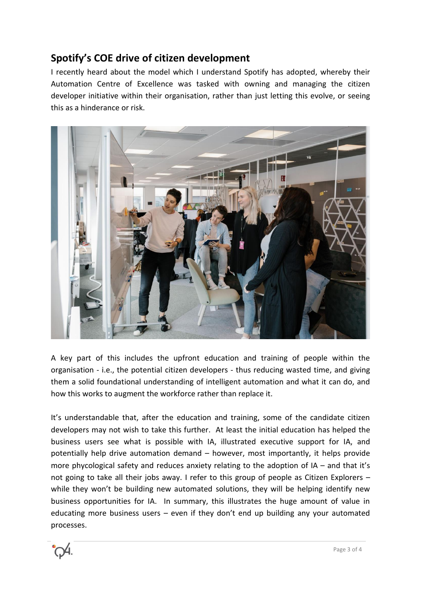## **Spotify's COE drive of citizen development**

I recently heard about the model which I understand Spotify has adopted, whereby their Automation Centre of Excellence was tasked with owning and managing the citizen developer initiative within their organisation, rather than just letting this evolve, or seeing this as a hinderance or risk.



A key part of this includes the upfront education and training of people within the organisation - i.e., the potential citizen developers - thus reducing wasted time, and giving them a solid foundational understanding of intelligent automation and what it can do, and how this works to augment the workforce rather than replace it.

It's understandable that, after the education and training, some of the candidate citizen developers may not wish to take this further. At least the initial education has helped the business users see what is possible with IA, illustrated executive support for IA, and potentially help drive automation demand – however, most importantly, it helps provide more phycological safety and reduces anxiety relating to the adoption of IA – and that it's not going to take all their jobs away. I refer to this group of people as Citizen Explorers – while they won't be building new automated solutions, they will be helping identify new business opportunities for IA. In summary, this illustrates the huge amount of value in educating more business users – even if they don't end up building any your automated processes.